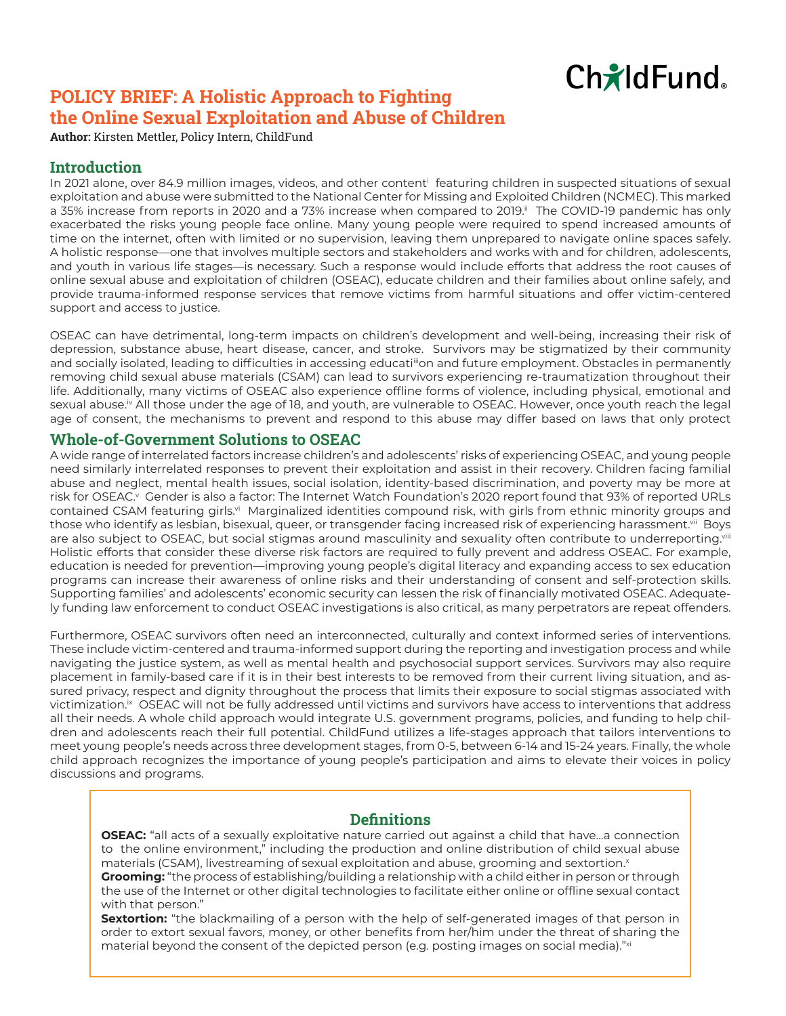

# <span id="page-0-0"></span>**POLICY BRIEF: A Holistic Approach to Fighting the Online Sexual Exploitation and Abuse of Children**

**Author:** Kirsten Mettler, Policy Intern, ChildFund

## **Introduction**

In 2021 alone, over 84.9 million images, videos, and other content[i](#page-1-0) featuring children in suspected situations of sexual exploitation and abuse were submitted to the National Center for Missing and Exploited Children (NCMEC). This marked a 35% increase from reports in 2020 and a 73% increase when compared to 2019.<sup>[ii](#page-1-0)</sup> The COVID-19 pandemic has only exacerbated the risks young people face online. Many young people were required to spend increased amounts of time on the internet, often with limited or no supervision, leaving them unprepared to navigate online spaces safely. A holistic response—one that involves multiple sectors and stakeholders and works with and for children, adolescents, and youth in various life stages—is necessary. Such a response would include efforts that address the root causes of online sexual abuse and exploitation of children (OSEAC), educate children and their families about online safely, and provide trauma-informed response services that remove victims from harmful situations and offer victim-centered support and access to justice.

OSEAC can have detrimental, long-term impacts on children's development and well-being, increasing their risk of depression, substance abuse, heart disease, cancer, and stroke. Survivors may be stigmatized by their community and socially isolated, leading to difficulties in accessing educati<sup>ii</sup>on and future employment. Obstacles in permanently removing child sexual abuse materials (CSAM) can lead to survivors experiencing re-traumatization throughout their life. Additionally, many victims of OSEAC also experience offline forms of violence, including physical, emotional and sexual abuse.<sup>[iv](#page-1-0)</sup> All those under the age of 18, and youth, are vulnerable to OSEAC. However, once youth reach the legal age of consent, the mechanisms to prevent and respond to this abuse may differ based on laws that only protect

#### **Whole-of-Government Solutions to OSEAC**

A wide range of interrelated factors increase children's and adolescents' risks of experiencing OSEAC, and young people need similarly interrelated responses to prevent their exploitation and assist in their recovery. Children facing familial abuse and neglect, mental health issues, social isolation, identity-based discrimination, and poverty may be more at risk for OSEAC.<sup>v</sup> Gender is also a factor: The Internet Watch Foundation's 2020 report found that 93% of reported URLs contained CSAM featuring girls.<sup>vi</sup> Marginalized identities compound risk, with girls from ethnic minority groups and those who identify as lesbian, bisexual, queer, or transgender facing increased risk of experiencing harassment.<sup>[vii](#page-1-0)</sup> Boys are also subject to OSEAC, but social stigmas around masculinity and sexuality often contribute to underreporting.<sup>viii</sup> Holistic efforts that consider these diverse risk factors are required to fully prevent and address OSEAC. For example, education is needed for prevention—improving young people's digital literacy and expanding access to sex education programs can increase their awareness of online risks and their understanding of consent and self-protection skills. Supporting families' and adolescents' economic security can lessen the risk of financially motivated OSEAC. Adequately funding law enforcement to conduct OSEAC investigations is also critical, as many perpetrators are repeat offenders.

Furthermore, OSEAC survivors often need an interconnected, culturally and context informed series of interventions. These include victim-centered and trauma-informed support during the reporting and investigation process and while navigating the justice system, as well as mental health and psychosocial support services. Survivors may also require placement in family-based care if it is in their best interests to be removed from their current living situation, and assured privacy, respect and dignity throughout the process that limits their exposure to social stigmas associated with victimization.<sup>ix</sup> OSEAC will not be fully addressed until victims and survivors have access to interventions that address all their needs. A whole child approach would integrate U.S. government programs, policies, and funding to help children and adolescents reach their full potential. ChildFund utilizes a life-stages approach that tailors interventions to meet young people's needs across three development stages, from 0-5, between 6-14 and 15-24 years. Finally, the whole child approach recognizes the importance of young people's participation and aims to elevate their voices in policy discussions and programs.

# **Definitions**

**OSEAC:** "all acts of a sexually exploitative nature carried out against a child that have…a connection to the online environment," including the production and online distribution of child sexual abuse materials (CSAM), livestreaming of sexual exploitation and abuse, grooming and sextortion.<sup>x</sup>

**Grooming:** "the process of establishing/building a relationship with a child either in person or through the use of the Internet or other digital technologies to facilitate either online or offline sexual contact with that person."

**Sextortion:** "the blackmailing of a person with the help of self-generated images of that person in order to extort sexual favors, money, or other benefits from her/him under the threat of sharing the material beyond the consent of the depicted person (e.g. posting images on social media)."[xi](#page-1-0)